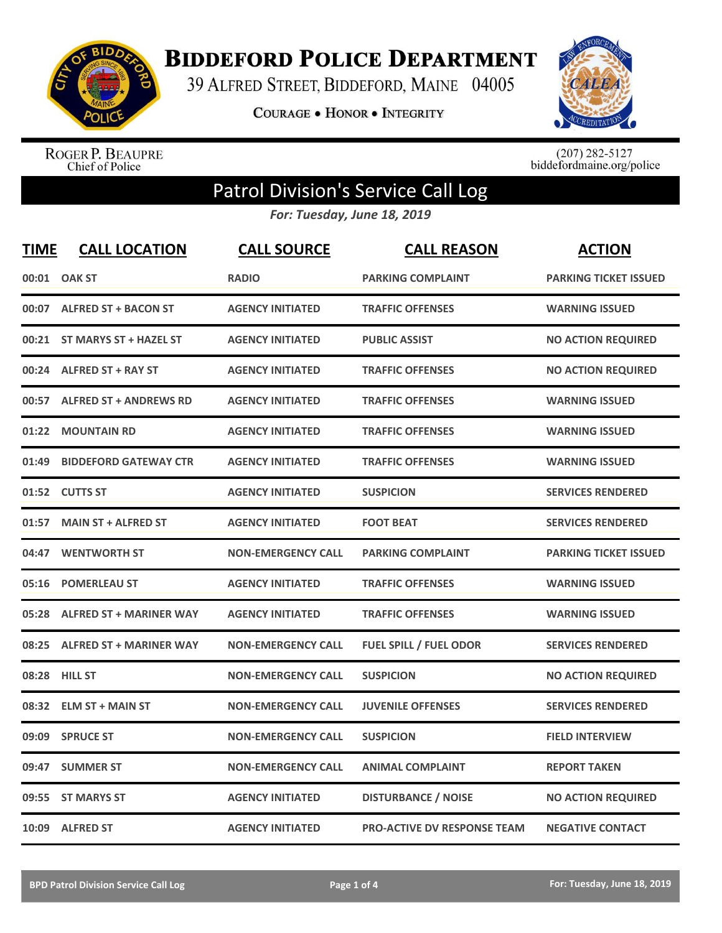

**BIDDEFORD POLICE DEPARTMENT** 

39 ALFRED STREET, BIDDEFORD, MAINE 04005

**COURAGE . HONOR . INTEGRITY** 



ROGER P. BEAUPRE<br>Chief of Police

 $(207)$  282-5127<br>biddefordmaine.org/police

## Patrol Division's Service Call Log

*For: Tuesday, June 18, 2019*

| <b>TIME</b> | <b>CALL LOCATION</b>          | <b>CALL SOURCE</b>        | <b>CALL REASON</b>                 | <b>ACTION</b>                |
|-------------|-------------------------------|---------------------------|------------------------------------|------------------------------|
|             | 00:01 OAK ST                  | <b>RADIO</b>              | <b>PARKING COMPLAINT</b>           | <b>PARKING TICKET ISSUED</b> |
|             | 00:07 ALFRED ST + BACON ST    | <b>AGENCY INITIATED</b>   | <b>TRAFFIC OFFENSES</b>            | <b>WARNING ISSUED</b>        |
|             | 00:21 ST MARYS ST + HAZEL ST  | <b>AGENCY INITIATED</b>   | <b>PUBLIC ASSIST</b>               | <b>NO ACTION REQUIRED</b>    |
|             | 00:24 ALFRED ST + RAY ST      | <b>AGENCY INITIATED</b>   | <b>TRAFFIC OFFENSES</b>            | <b>NO ACTION REQUIRED</b>    |
| 00:57       | <b>ALFRED ST + ANDREWS RD</b> | <b>AGENCY INITIATED</b>   | <b>TRAFFIC OFFENSES</b>            | <b>WARNING ISSUED</b>        |
| 01:22       | <b>MOUNTAIN RD</b>            | <b>AGENCY INITIATED</b>   | <b>TRAFFIC OFFENSES</b>            | <b>WARNING ISSUED</b>        |
| 01:49       | <b>BIDDEFORD GATEWAY CTR</b>  | <b>AGENCY INITIATED</b>   | <b>TRAFFIC OFFENSES</b>            | <b>WARNING ISSUED</b>        |
|             | 01:52 CUTTS ST                | <b>AGENCY INITIATED</b>   | <b>SUSPICION</b>                   | <b>SERVICES RENDERED</b>     |
| 01:57       | <b>MAIN ST + ALFRED ST</b>    | <b>AGENCY INITIATED</b>   | <b>FOOT BEAT</b>                   | <b>SERVICES RENDERED</b>     |
| 04:47       | <b>WENTWORTH ST</b>           | <b>NON-EMERGENCY CALL</b> | <b>PARKING COMPLAINT</b>           | <b>PARKING TICKET ISSUED</b> |
| 05:16       | <b>POMERLEAU ST</b>           | <b>AGENCY INITIATED</b>   | <b>TRAFFIC OFFENSES</b>            | <b>WARNING ISSUED</b>        |
|             | 05:28 ALFRED ST + MARINER WAY | <b>AGENCY INITIATED</b>   | <b>TRAFFIC OFFENSES</b>            | <b>WARNING ISSUED</b>        |
|             | 08:25 ALFRED ST + MARINER WAY | <b>NON-EMERGENCY CALL</b> | <b>FUEL SPILL / FUEL ODOR</b>      | <b>SERVICES RENDERED</b>     |
|             | 08:28 HILL ST                 | <b>NON-EMERGENCY CALL</b> | <b>SUSPICION</b>                   | <b>NO ACTION REQUIRED</b>    |
| 08:32       | <b>ELM ST + MAIN ST</b>       | <b>NON-EMERGENCY CALL</b> | <b>JUVENILE OFFENSES</b>           | <b>SERVICES RENDERED</b>     |
|             | 09:09 SPRUCE ST               | <b>NON-EMERGENCY CALL</b> | <b>SUSPICION</b>                   | <b>FIELD INTERVIEW</b>       |
| 09:47       | <b>SUMMER ST</b>              | <b>NON-EMERGENCY CALL</b> | <b>ANIMAL COMPLAINT</b>            | <b>REPORT TAKEN</b>          |
| 09:55       | <b>ST MARYS ST</b>            | <b>AGENCY INITIATED</b>   | <b>DISTURBANCE / NOISE</b>         | <b>NO ACTION REQUIRED</b>    |
|             | 10:09 ALFRED ST               | <b>AGENCY INITIATED</b>   | <b>PRO-ACTIVE DV RESPONSE TEAM</b> | <b>NEGATIVE CONTACT</b>      |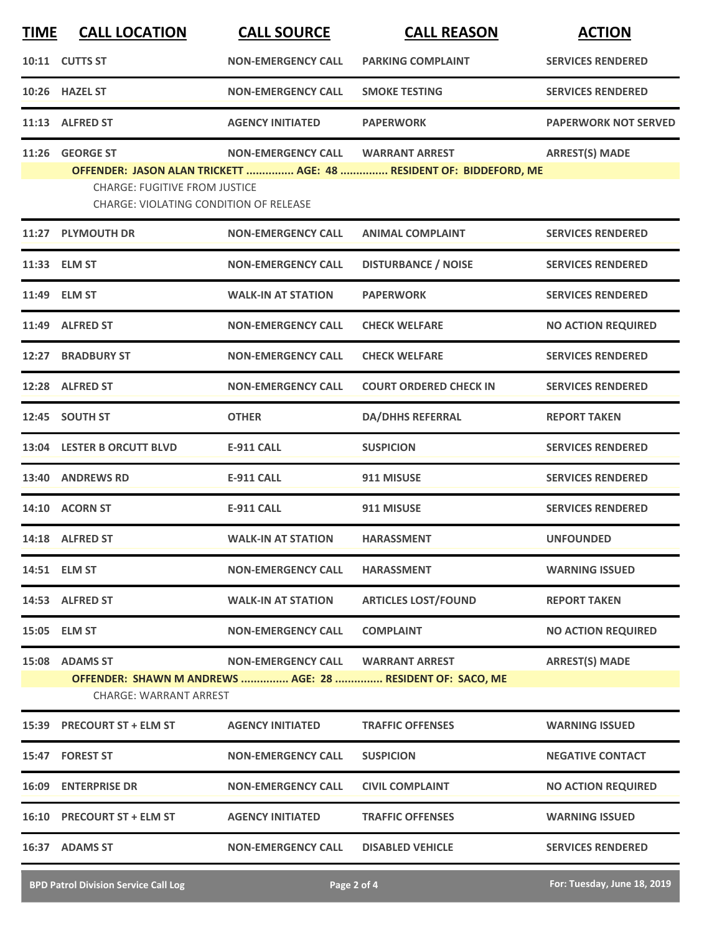| <b>TIME</b> | <b>CALL LOCATION</b>                                                                  | <b>CALL SOURCE</b>        | <b>CALL REASON</b>                                                                 | <b>ACTION</b>               |
|-------------|---------------------------------------------------------------------------------------|---------------------------|------------------------------------------------------------------------------------|-----------------------------|
|             | 10:11 CUTTS ST                                                                        | <b>NON-EMERGENCY CALL</b> | <b>PARKING COMPLAINT</b>                                                           | <b>SERVICES RENDERED</b>    |
|             | 10:26 HAZEL ST                                                                        | <b>NON-EMERGENCY CALL</b> | <b>SMOKE TESTING</b>                                                               | <b>SERVICES RENDERED</b>    |
|             | 11:13 ALFRED ST                                                                       | <b>AGENCY INITIATED</b>   | <b>PAPERWORK</b>                                                                   | <b>PAPERWORK NOT SERVED</b> |
|             | 11:26 GEORGE ST                                                                       | <b>NON-EMERGENCY CALL</b> | <b>WARRANT ARREST</b>                                                              | <b>ARREST(S) MADE</b>       |
|             | <b>CHARGE: FUGITIVE FROM JUSTICE</b><br><b>CHARGE: VIOLATING CONDITION OF RELEASE</b> |                           | OFFENDER: JASON ALAN TRICKETT  AGE: 48  RESIDENT OF: BIDDEFORD, ME                 |                             |
|             | 11:27 PLYMOUTH DR                                                                     | <b>NON-EMERGENCY CALL</b> | <b>ANIMAL COMPLAINT</b>                                                            | <b>SERVICES RENDERED</b>    |
|             | 11:33 ELM ST                                                                          | <b>NON-EMERGENCY CALL</b> | <b>DISTURBANCE / NOISE</b>                                                         | <b>SERVICES RENDERED</b>    |
|             | 11:49 ELM ST                                                                          | <b>WALK-IN AT STATION</b> | <b>PAPERWORK</b>                                                                   | <b>SERVICES RENDERED</b>    |
|             | 11:49 ALFRED ST                                                                       | <b>NON-EMERGENCY CALL</b> | <b>CHECK WELFARE</b>                                                               | <b>NO ACTION REQUIRED</b>   |
| 12:27       | <b>BRADBURY ST</b>                                                                    | <b>NON-EMERGENCY CALL</b> | <b>CHECK WELFARE</b>                                                               | <b>SERVICES RENDERED</b>    |
|             | 12:28 ALFRED ST                                                                       | <b>NON-EMERGENCY CALL</b> | <b>COURT ORDERED CHECK IN</b>                                                      | <b>SERVICES RENDERED</b>    |
| 12:45       | <b>SOUTH ST</b>                                                                       | <b>OTHER</b>              | <b>DA/DHHS REFERRAL</b>                                                            | <b>REPORT TAKEN</b>         |
|             | 13:04 LESTER B ORCUTT BLVD                                                            | <b>E-911 CALL</b>         | <b>SUSPICION</b>                                                                   | <b>SERVICES RENDERED</b>    |
| 13:40       | <b>ANDREWS RD</b>                                                                     | <b>E-911 CALL</b>         | 911 MISUSE                                                                         | <b>SERVICES RENDERED</b>    |
|             | 14:10 ACORN ST                                                                        | <b>E-911 CALL</b>         | 911 MISUSE                                                                         | <b>SERVICES RENDERED</b>    |
|             | 14:18 ALFRED ST                                                                       | <b>WALK-IN AT STATION</b> | <b>HARASSMENT</b>                                                                  | <b>UNFOUNDED</b>            |
|             | 14:51 ELM ST                                                                          | <b>NON-EMERGENCY CALL</b> | <b>HARASSMENT</b>                                                                  | <b>WARNING ISSUED</b>       |
|             | 14:53 ALFRED ST                                                                       | <b>WALK-IN AT STATION</b> | <b>ARTICLES LOST/FOUND</b>                                                         | <b>REPORT TAKEN</b>         |
|             | 15:05 ELM ST                                                                          | <b>NON-EMERGENCY CALL</b> | <b>COMPLAINT</b>                                                                   | <b>NO ACTION REQUIRED</b>   |
|             | 15:08 ADAMS ST<br>CHARGE: WARRANT ARREST                                              | <b>NON-EMERGENCY CALL</b> | <b>WARRANT ARREST</b><br>OFFENDER: SHAWN M ANDREWS  AGE: 28  RESIDENT OF: SACO, ME | <b>ARREST(S) MADE</b>       |
|             | 15:39 PRECOURT ST + ELM ST                                                            | <b>AGENCY INITIATED</b>   | <b>TRAFFIC OFFENSES</b>                                                            | <b>WARNING ISSUED</b>       |
|             | 15:47 FOREST ST                                                                       | <b>NON-EMERGENCY CALL</b> | <b>SUSPICION</b>                                                                   | <b>NEGATIVE CONTACT</b>     |
|             | 16:09 ENTERPRISE DR                                                                   | <b>NON-EMERGENCY CALL</b> | <b>CIVIL COMPLAINT</b>                                                             | <b>NO ACTION REQUIRED</b>   |
|             | 16:10 PRECOURT ST + ELM ST                                                            | <b>AGENCY INITIATED</b>   | <b>TRAFFIC OFFENSES</b>                                                            | <b>WARNING ISSUED</b>       |
|             | 16:37 ADAMS ST                                                                        | <b>NON-EMERGENCY CALL</b> | <b>DISABLED VEHICLE</b>                                                            | <b>SERVICES RENDERED</b>    |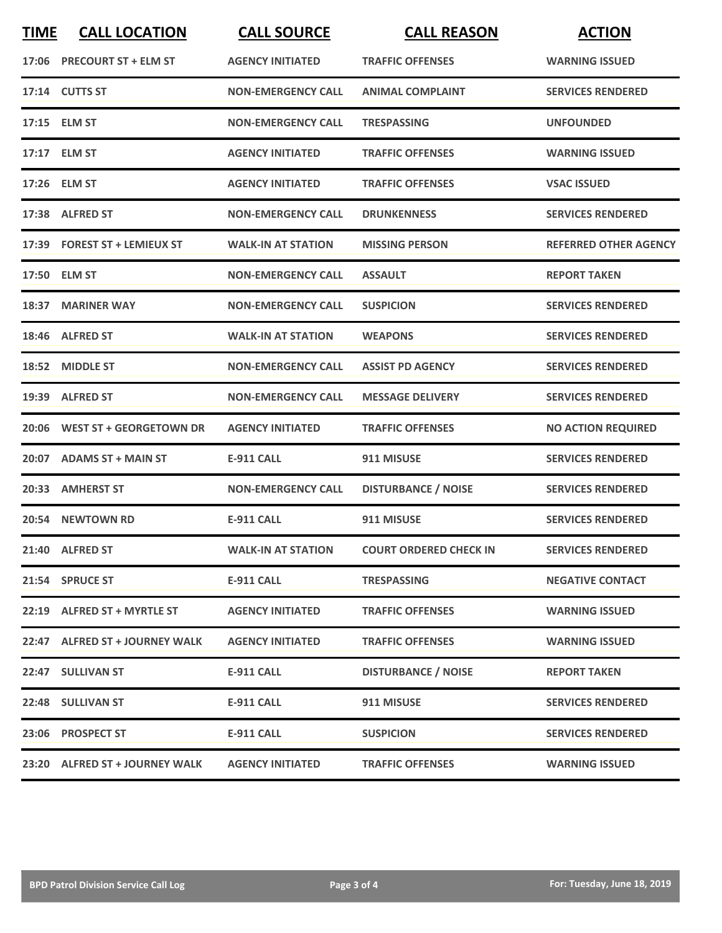| <b>TIME</b> | <b>CALL LOCATION</b>           | <b>CALL SOURCE</b>        | <b>CALL REASON</b>            | <b>ACTION</b>                |
|-------------|--------------------------------|---------------------------|-------------------------------|------------------------------|
|             | 17:06 PRECOURT ST + ELM ST     | <b>AGENCY INITIATED</b>   | <b>TRAFFIC OFFENSES</b>       | <b>WARNING ISSUED</b>        |
|             | 17:14 CUTTS ST                 | <b>NON-EMERGENCY CALL</b> | <b>ANIMAL COMPLAINT</b>       | <b>SERVICES RENDERED</b>     |
|             | 17:15 ELM ST                   | <b>NON-EMERGENCY CALL</b> | <b>TRESPASSING</b>            | <b>UNFOUNDED</b>             |
|             | 17:17 ELM ST                   | <b>AGENCY INITIATED</b>   | <b>TRAFFIC OFFENSES</b>       | <b>WARNING ISSUED</b>        |
|             | 17:26 ELM ST                   | <b>AGENCY INITIATED</b>   | <b>TRAFFIC OFFENSES</b>       | <b>VSAC ISSUED</b>           |
|             | 17:38 ALFRED ST                | <b>NON-EMERGENCY CALL</b> | <b>DRUNKENNESS</b>            | <b>SERVICES RENDERED</b>     |
|             | 17:39 FOREST ST + LEMIEUX ST   | <b>WALK-IN AT STATION</b> | <b>MISSING PERSON</b>         | <b>REFERRED OTHER AGENCY</b> |
|             | 17:50 ELM ST                   | <b>NON-EMERGENCY CALL</b> | <b>ASSAULT</b>                | <b>REPORT TAKEN</b>          |
|             | 18:37 MARINER WAY              | <b>NON-EMERGENCY CALL</b> | <b>SUSPICION</b>              | <b>SERVICES RENDERED</b>     |
|             | 18:46 ALFRED ST                | <b>WALK-IN AT STATION</b> | <b>WEAPONS</b>                | <b>SERVICES RENDERED</b>     |
|             | 18:52 MIDDLE ST                | <b>NON-EMERGENCY CALL</b> | <b>ASSIST PD AGENCY</b>       | <b>SERVICES RENDERED</b>     |
|             | 19:39 ALFRED ST                | <b>NON-EMERGENCY CALL</b> | <b>MESSAGE DELIVERY</b>       | <b>SERVICES RENDERED</b>     |
|             | 20:06 WEST ST + GEORGETOWN DR  | <b>AGENCY INITIATED</b>   | <b>TRAFFIC OFFENSES</b>       | <b>NO ACTION REQUIRED</b>    |
|             | 20:07 ADAMS ST + MAIN ST       | <b>E-911 CALL</b>         | 911 MISUSE                    | <b>SERVICES RENDERED</b>     |
|             | 20:33 AMHERST ST               | <b>NON-EMERGENCY CALL</b> | <b>DISTURBANCE / NOISE</b>    | <b>SERVICES RENDERED</b>     |
|             | 20:54 NEWTOWN RD               | <b>E-911 CALL</b>         | 911 MISUSE                    | <b>SERVICES RENDERED</b>     |
|             | 21:40 ALFRED ST                | <b>WALK-IN AT STATION</b> | <b>COURT ORDERED CHECK IN</b> | <b>SERVICES RENDERED</b>     |
|             | 21:54 SPRUCE ST                | E-911 CALL                | <b>TRESPASSING</b>            | <b>NEGATIVE CONTACT</b>      |
|             | 22:19 ALFRED ST + MYRTLE ST    | <b>AGENCY INITIATED</b>   | <b>TRAFFIC OFFENSES</b>       | <b>WARNING ISSUED</b>        |
|             | 22:47 ALFRED ST + JOURNEY WALK | <b>AGENCY INITIATED</b>   | <b>TRAFFIC OFFENSES</b>       | <b>WARNING ISSUED</b>        |
|             | 22:47 SULLIVAN ST              | <b>E-911 CALL</b>         | <b>DISTURBANCE / NOISE</b>    | <b>REPORT TAKEN</b>          |
|             | 22:48 SULLIVAN ST              | <b>E-911 CALL</b>         | 911 MISUSE                    | <b>SERVICES RENDERED</b>     |
|             | 23:06 PROSPECT ST              | <b>E-911 CALL</b>         | <b>SUSPICION</b>              | <b>SERVICES RENDERED</b>     |
|             | 23:20 ALFRED ST + JOURNEY WALK | <b>AGENCY INITIATED</b>   | <b>TRAFFIC OFFENSES</b>       | <b>WARNING ISSUED</b>        |